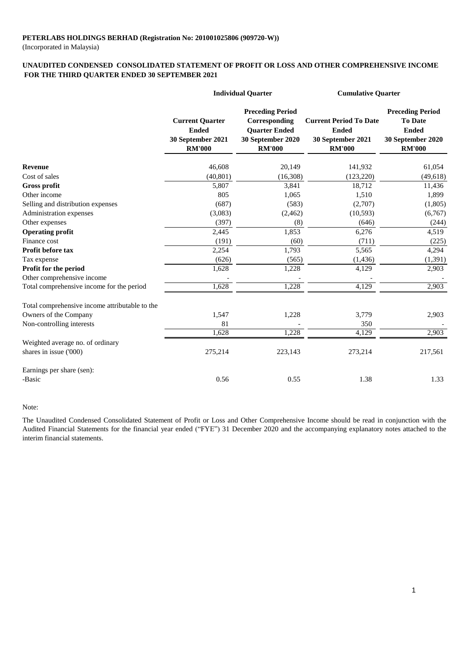(Incorporated in Malaysia)

#### **FOR THE THIRD QUARTER ENDED 30 SEPTEMBER 2021 UNAUDITED CONDENSED CONSOLIDATED STATEMENT OF PROFIT OR LOSS AND OTHER COMPREHENSIVE INCOME**

|                                                | <b>Individual Quarter</b>                                                    |                                                                                                        | <b>Cumulative Quarter</b>                                                           |                                                                                                 |  |
|------------------------------------------------|------------------------------------------------------------------------------|--------------------------------------------------------------------------------------------------------|-------------------------------------------------------------------------------------|-------------------------------------------------------------------------------------------------|--|
|                                                | <b>Current Quarter</b><br><b>Ended</b><br>30 September 2021<br><b>RM'000</b> | <b>Preceding Period</b><br>Corresponding<br><b>Quarter Ended</b><br>30 September 2020<br><b>RM'000</b> | <b>Current Period To Date</b><br><b>Ended</b><br>30 September 2021<br><b>RM'000</b> | <b>Preceding Period</b><br><b>To Date</b><br><b>Ended</b><br>30 September 2020<br><b>RM'000</b> |  |
| Revenue                                        | 46,608                                                                       | 20,149                                                                                                 | 141,932                                                                             | 61,054                                                                                          |  |
| Cost of sales                                  | (40, 801)                                                                    | (16,308)                                                                                               | (123, 220)                                                                          | (49, 618)                                                                                       |  |
| <b>Gross profit</b>                            | 5,807                                                                        | 3,841                                                                                                  | 18,712                                                                              | 11,436                                                                                          |  |
| Other income                                   | 805                                                                          | 1,065                                                                                                  | 1,510                                                                               | 1,899                                                                                           |  |
| Selling and distribution expenses              | (687)                                                                        | (583)                                                                                                  | (2,707)                                                                             | (1,805)                                                                                         |  |
| Administration expenses                        | (3,083)                                                                      | (2,462)                                                                                                | (10, 593)                                                                           | (6,767)                                                                                         |  |
| Other expenses                                 | (397)                                                                        | (8)                                                                                                    | (646)                                                                               | (244)                                                                                           |  |
| <b>Operating profit</b>                        | 2,445                                                                        | 1,853                                                                                                  | 6,276                                                                               | 4,519                                                                                           |  |
| Finance cost                                   | (191)                                                                        | (60)                                                                                                   | (711)                                                                               | (225)                                                                                           |  |
| Profit before tax                              | 2,254                                                                        | 1,793                                                                                                  | 5,565                                                                               | 4,294                                                                                           |  |
| Tax expense                                    | (626)                                                                        | (565)                                                                                                  | (1, 436)                                                                            | (1, 391)                                                                                        |  |
| Profit for the period                          | 1,628                                                                        | 1,228                                                                                                  | 4,129                                                                               | 2,903                                                                                           |  |
| Other comprehensive income                     |                                                                              |                                                                                                        |                                                                                     |                                                                                                 |  |
| Total comprehensive income for the period      | 1,628                                                                        | 1,228                                                                                                  | 4,129                                                                               | 2,903                                                                                           |  |
| Total comprehensive income attributable to the |                                                                              |                                                                                                        |                                                                                     |                                                                                                 |  |
| Owners of the Company                          | 1,547                                                                        | 1,228                                                                                                  | 3,779                                                                               | 2,903                                                                                           |  |
| Non-controlling interests                      | 81                                                                           |                                                                                                        | 350                                                                                 |                                                                                                 |  |
|                                                | 1,628                                                                        | 1,228                                                                                                  | 4,129                                                                               | 2,903                                                                                           |  |
| Weighted average no. of ordinary               |                                                                              |                                                                                                        |                                                                                     |                                                                                                 |  |
| shares in issue ('000)                         | 275,214                                                                      | 223,143                                                                                                | 273,214                                                                             | 217,561                                                                                         |  |
| Earnings per share (sen):                      |                                                                              |                                                                                                        |                                                                                     |                                                                                                 |  |
| -Basic                                         | 0.56                                                                         | 0.55                                                                                                   | 1.38                                                                                | 1.33                                                                                            |  |

#### Note:

The Unaudited Condensed Consolidated Statement of Profit or Loss and Other Comprehensive Income should be read in conjunction with the Audited Financial Statements for the financial year ended ("FYE") 31 December 2020 and the accompanying explanatory notes attached to the interim financial statements.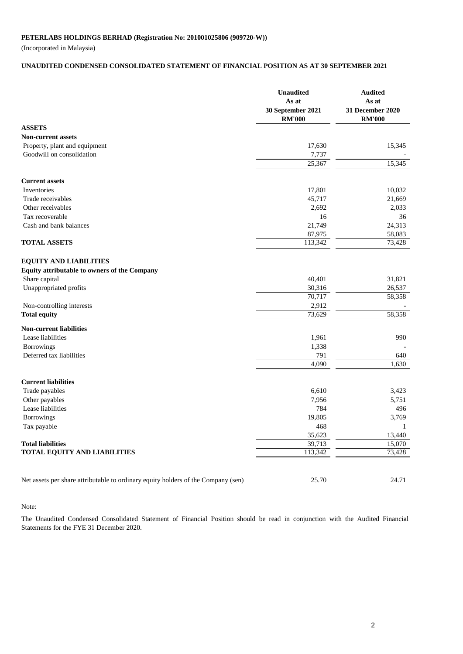(Incorporated in Malaysia)

#### **UNAUDITED CONDENSED CONSOLIDATED STATEMENT OF FINANCIAL POSITION AS AT 30 SEPTEMBER 2021**

|                                                                                   | <b>Unaudited</b><br>As at<br>30 September 2021<br><b>RM'000</b> | <b>Audited</b><br>As at<br>31 December 2020<br><b>RM'000</b> |
|-----------------------------------------------------------------------------------|-----------------------------------------------------------------|--------------------------------------------------------------|
| <b>ASSETS</b>                                                                     |                                                                 |                                                              |
| <b>Non-current assets</b>                                                         |                                                                 |                                                              |
| Property, plant and equipment                                                     | 17,630                                                          | 15,345                                                       |
| Goodwill on consolidation                                                         | 7,737                                                           |                                                              |
|                                                                                   | 25,367                                                          | 15,345                                                       |
| <b>Current assets</b>                                                             |                                                                 |                                                              |
| Inventories                                                                       | 17,801                                                          | 10,032                                                       |
| Trade receivables                                                                 | 45,717                                                          | 21,669                                                       |
| Other receivables                                                                 | 2,692                                                           | 2,033                                                        |
| Tax recoverable                                                                   | 16                                                              | 36                                                           |
| Cash and bank balances                                                            | 21,749                                                          | 24,313                                                       |
|                                                                                   | 87,975                                                          | 58,083                                                       |
| <b>TOTAL ASSETS</b>                                                               | 113,342                                                         | 73,428                                                       |
| <b>EQUITY AND LIABILITIES</b>                                                     |                                                                 |                                                              |
| Equity attributable to owners of the Company                                      |                                                                 |                                                              |
| Share capital                                                                     | 40,401                                                          | 31,821                                                       |
| Unappropriated profits                                                            | 30,316                                                          | 26,537                                                       |
|                                                                                   | 70,717                                                          | 58,358                                                       |
| Non-controlling interests                                                         | 2,912                                                           |                                                              |
| <b>Total equity</b>                                                               | 73,629                                                          | 58,358                                                       |
| <b>Non-current liabilities</b>                                                    |                                                                 |                                                              |
| Lease liabilities                                                                 | 1,961                                                           | 990                                                          |
| Borrowings                                                                        | 1,338                                                           |                                                              |
| Deferred tax liabilities                                                          | 791                                                             | 640                                                          |
|                                                                                   | 4,090                                                           | 1,630                                                        |
| <b>Current liabilities</b>                                                        |                                                                 |                                                              |
| Trade payables                                                                    | 6,610                                                           | 3,423                                                        |
| Other payables                                                                    | 7,956                                                           | 5,751                                                        |
| Lease liabilities                                                                 | 784                                                             | 496                                                          |
| Borrowings                                                                        | 19,805                                                          | 3,769                                                        |
| Tax payable                                                                       | 468                                                             | 1                                                            |
|                                                                                   | 35,623                                                          | 13,440                                                       |
| <b>Total liabilities</b>                                                          | 39,713                                                          | 15,070                                                       |
| TOTAL EQUITY AND LIABILITIES                                                      | 113,342                                                         | 73,428                                                       |
|                                                                                   |                                                                 |                                                              |
| Net assets per share attributable to ordinary equity holders of the Company (sen) | 25.70                                                           | 24.71                                                        |

#### Note:

The Unaudited Condensed Consolidated Statement of Financial Position should be read in conjunction with the Audited Financial Statements for the FYE 31 December 2020.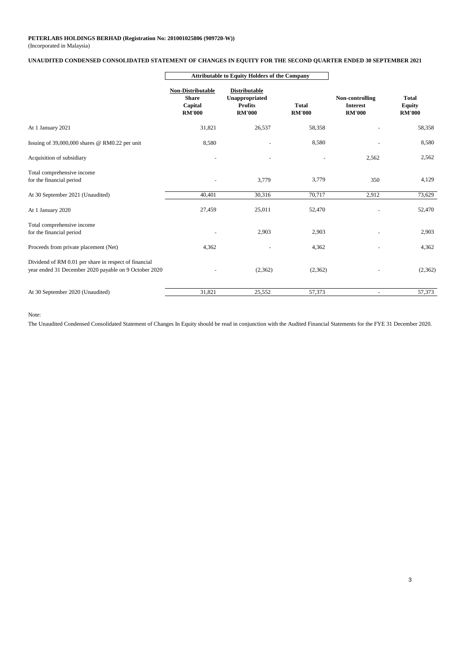#### (Incorporated in Malaysia)

#### **UNAUDITED CONDENSED CONSOLIDATED STATEMENT OF CHANGES IN EQUITY FOR THE SECOND QUARTER ENDED 30 SEPTEMBER 2021**

|                                                                                                                | <b>Attributable to Equity Holders of the Company</b>          |                                                                           |                               |                                                     |                                                |  |
|----------------------------------------------------------------------------------------------------------------|---------------------------------------------------------------|---------------------------------------------------------------------------|-------------------------------|-----------------------------------------------------|------------------------------------------------|--|
|                                                                                                                | Non-Distributable<br><b>Share</b><br>Capital<br><b>RM'000</b> | <b>Distributable</b><br>Unappropriated<br><b>Profits</b><br><b>RM'000</b> | <b>Total</b><br><b>RM'000</b> | Non-controlling<br><b>Interest</b><br><b>RM'000</b> | <b>Total</b><br><b>Equity</b><br><b>RM'000</b> |  |
| At 1 January 2021                                                                                              | 31,821                                                        | 26,537                                                                    | 58,358                        |                                                     | 58,358                                         |  |
| Issuing of $39,000,000$ shares @ RM0.22 per unit                                                               | 8,580                                                         |                                                                           | 8,580                         |                                                     | 8,580                                          |  |
| Acquisition of subsidiary                                                                                      |                                                               |                                                                           |                               | 2,562                                               | 2,562                                          |  |
| Total comprehensive income<br>for the financial period                                                         |                                                               | 3,779                                                                     | 3,779                         | 350                                                 | 4,129                                          |  |
| At 30 September 2021 (Unaudited)                                                                               | 40,401                                                        | 30,316                                                                    | 70,717                        | 2,912                                               | 73,629                                         |  |
| At 1 January 2020                                                                                              | 27,459                                                        | 25,011                                                                    | 52,470                        |                                                     | 52,470                                         |  |
| Total comprehensive income<br>for the financial period                                                         |                                                               | 2,903                                                                     | 2,903                         |                                                     | 2,903                                          |  |
| Proceeds from private placement (Net)                                                                          | 4,362                                                         |                                                                           | 4,362                         |                                                     | 4,362                                          |  |
| Dividend of RM 0.01 per share in respect of financial<br>year ended 31 December 2020 payable on 9 October 2020 |                                                               | (2,362)                                                                   | (2,362)                       |                                                     | (2,362)                                        |  |
| At 30 September 2020 (Unaudited)                                                                               | 31,821                                                        | 25,552                                                                    | 57,373                        | $\sim$                                              | 57,373                                         |  |

Note:

The Unaudited Condensed Consolidated Statement of Changes In Equity should be read in conjunction with the Audited Financial Statements for the FYE 31 December 2020.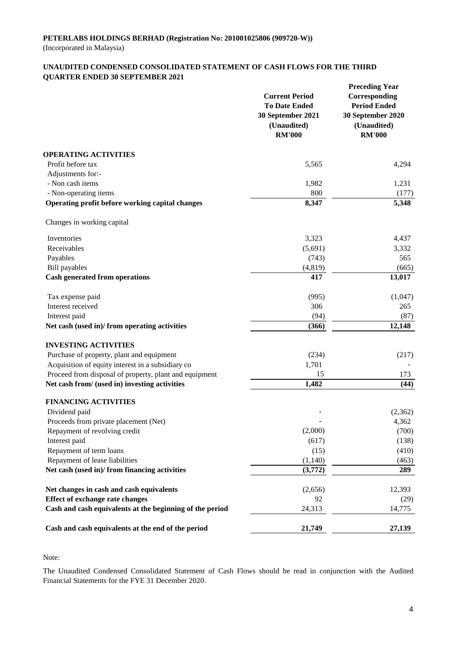#### **UNAUDITED CONDENSED CONSOLIDATED STATEMENT OF CASH FLOWS FOR THE THIRD QUARTER ENDED 30 SEPTEMBER 2021**

|                                                                                                         | <b>Current Period</b><br><b>To Date Ended</b><br>30 September 2021<br>(Unaudited)<br><b>RM'000</b> | <b>Preceding Year</b><br>Corresponding<br><b>Period Ended</b><br>30 September 2020<br>(Unaudited)<br><b>RM'000</b> |
|---------------------------------------------------------------------------------------------------------|----------------------------------------------------------------------------------------------------|--------------------------------------------------------------------------------------------------------------------|
| <b>OPERATING ACTIVITIES</b>                                                                             |                                                                                                    |                                                                                                                    |
| Profit before tax                                                                                       | 5,565                                                                                              | 4,294                                                                                                              |
| Adjustments for:-                                                                                       |                                                                                                    |                                                                                                                    |
| - Non cash items                                                                                        | 1,982                                                                                              | 1,231                                                                                                              |
| - Non-operating items<br>Operating profit before working capital changes                                | 800<br>8,347                                                                                       | (177)<br>5,348                                                                                                     |
| Changes in working capital                                                                              |                                                                                                    |                                                                                                                    |
| Inventories                                                                                             | 3,323                                                                                              | 4,437                                                                                                              |
| Receivables                                                                                             | (5,691)                                                                                            | 3,332                                                                                                              |
| Payables                                                                                                | (743)                                                                                              | 565                                                                                                                |
| <b>Bill</b> payables                                                                                    | (4, 819)                                                                                           | (665)                                                                                                              |
| <b>Cash generated from operations</b>                                                                   | 417                                                                                                | 13,017                                                                                                             |
| Tax expense paid                                                                                        | (995)                                                                                              | (1,047)                                                                                                            |
| Interest received                                                                                       | 306                                                                                                | 265                                                                                                                |
| Interest paid                                                                                           | (94)                                                                                               | (87)                                                                                                               |
| Net cash (used in)/from operating activities                                                            | (366)                                                                                              | 12,148                                                                                                             |
| <b>INVESTING ACTIVITIES</b>                                                                             |                                                                                                    |                                                                                                                    |
| Purchase of property, plant and equipment                                                               | (234)                                                                                              | (217)                                                                                                              |
| Acquisition of equity interest in a subsidiary co                                                       | 1,701                                                                                              |                                                                                                                    |
| Proceed from disposal of property, plant and equipment<br>Net cash from/ (used in) investing activities | 15<br>1,482                                                                                        | 173<br>(44)                                                                                                        |
|                                                                                                         |                                                                                                    |                                                                                                                    |
| <b>FINANCING ACTIVITIES</b><br>Dividend paid                                                            |                                                                                                    | (2,362)                                                                                                            |
| Proceeds from private placement (Net)                                                                   |                                                                                                    | 4,362                                                                                                              |
| Repayment of revolving credit                                                                           | (2,000)                                                                                            | (700)                                                                                                              |
| Interest paid                                                                                           | (617)                                                                                              | (138)                                                                                                              |
| Repayment of term loans                                                                                 | (15)                                                                                               | (410)                                                                                                              |
| Repayment of lease liabilities                                                                          | (1,140)                                                                                            | (463)                                                                                                              |
| Net cash (used in)/ from financing activities                                                           | (3,772)                                                                                            | 289                                                                                                                |
| Net changes in cash and cash equivalents                                                                | (2,656)                                                                                            | 12,393                                                                                                             |
| <b>Effect of exchange rate changes</b>                                                                  | 92                                                                                                 | (29)                                                                                                               |
| Cash and cash equivalents at the beginning of the period                                                | 24,313                                                                                             | 14,775                                                                                                             |
| Cash and cash equivalents at the end of the period                                                      | 21,749                                                                                             | 27,139                                                                                                             |

Note:

The Unaudited Condensed Consolidated Statement of Cash Flows should be read in conjunction with the Audited Financial Statements for the FYE 31 December 2020.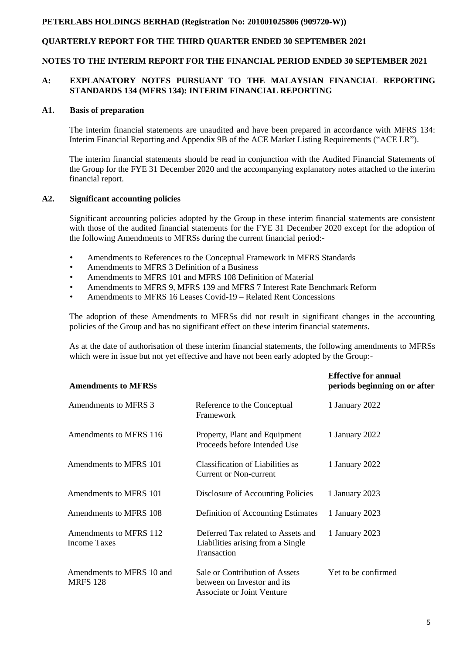# **QUARTERLY REPORT FOR THE THIRD QUARTER ENDED 30 SEPTEMBER 2021**

#### **NOTES TO THE INTERIM REPORT FOR THE FINANCIAL PERIOD ENDED 30 SEPTEMBER 2021**

### **A: EXPLANATORY NOTES PURSUANT TO THE MALAYSIAN FINANCIAL REPORTING STANDARDS 134 (MFRS 134): INTERIM FINANCIAL REPORTING**

#### **A1. Basis of preparation**

The interim financial statements are unaudited and have been prepared in accordance with MFRS 134: Interim Financial Reporting and Appendix 9B of the ACE Market Listing Requirements ("ACE LR").

The interim financial statements should be read in conjunction with the Audited Financial Statements of the Group for the FYE 31 December 2020 and the accompanying explanatory notes attached to the interim financial report.

#### **A2. Significant accounting policies**

Significant accounting policies adopted by the Group in these interim financial statements are consistent with those of the audited financial statements for the FYE 31 December 2020 except for the adoption of the following Amendments to MFRSs during the current financial period:-

- Amendments to References to the Conceptual Framework in MFRS Standards
- Amendments to MFRS 3 Definition of a Business
- Amendments to MFRS 101 and MFRS 108 Definition of Material
- Amendments to MFRS 9, MFRS 139 and MFRS 7 Interest Rate Benchmark Reform
- Amendments to MFRS 16 Leases Covid-19 Related Rent Concessions

The adoption of these Amendments to MFRSs did not result in significant changes in the accounting policies of the Group and has no significant effect on these interim financial statements.

As at the date of authorisation of these interim financial statements, the following amendments to MFRSs which were in issue but not yet effective and have not been early adopted by the Group:-

| <b>Amendments to MFRSs</b>                    |                                                                                             | <b>Effective for annual</b><br>periods beginning on or after |
|-----------------------------------------------|---------------------------------------------------------------------------------------------|--------------------------------------------------------------|
| Amendments to MFRS 3                          | Reference to the Conceptual<br>Framework                                                    | 1 January 2022                                               |
| Amendments to MFRS 116                        | Property, Plant and Equipment<br>Proceeds before Intended Use                               | 1 January 2022                                               |
| Amendments to MFRS 101                        | Classification of Liabilities as<br>Current or Non-current                                  | 1 January 2022                                               |
| Amendments to MFRS 101                        | Disclosure of Accounting Policies                                                           | 1 January 2023                                               |
| Amendments to MFRS 108                        | Definition of Accounting Estimates                                                          | 1 January 2023                                               |
| Amendments to MFRS 112<br><b>Income Taxes</b> | Deferred Tax related to Assets and<br>Liabilities arising from a Single<br>Transaction      | 1 January 2023                                               |
| Amendments to MFRS 10 and<br><b>MRFS 128</b>  | Sale or Contribution of Assets<br>between on Investor and its<br>Associate or Joint Venture | Yet to be confirmed                                          |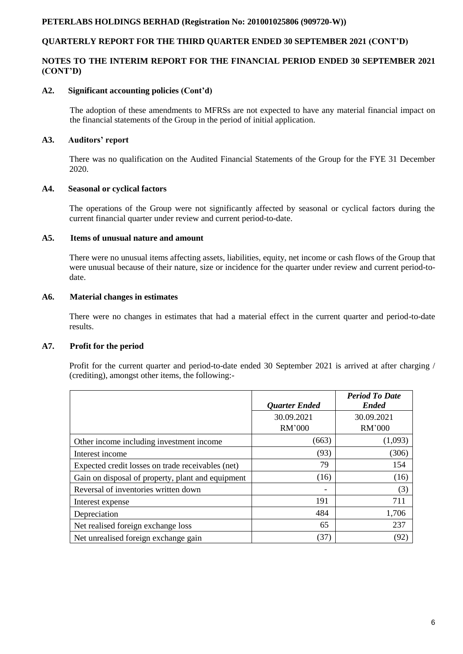### **QUARTERLY REPORT FOR THE THIRD QUARTER ENDED 30 SEPTEMBER 2021 (CONT'D)**

### **NOTES TO THE INTERIM REPORT FOR THE FINANCIAL PERIOD ENDED 30 SEPTEMBER 2021 (CONT'D)**

#### **A2. Significant accounting policies (Cont'd)**

The adoption of these amendments to MFRSs are not expected to have any material financial impact on the financial statements of the Group in the period of initial application.

### **A3. Auditors' report**

There was no qualification on the Audited Financial Statements of the Group for the FYE 31 December 2020.

#### **A4. Seasonal or cyclical factors**

The operations of the Group were not significantly affected by seasonal or cyclical factors during the current financial quarter under review and current period-to-date.

#### **A5. Items of unusual nature and amount**

There were no unusual items affecting assets, liabilities, equity, net income or cash flows of the Group that were unusual because of their nature, size or incidence for the quarter under review and current period-todate.

#### **A6. Material changes in estimates**

There were no changes in estimates that had a material effect in the current quarter and period-to-date results.

### **A7. Profit for the period**

Profit for the current quarter and period-to-date ended 30 September 2021 is arrived at after charging / (crediting), amongst other items, the following:-

|                                                   |                      | <b>Period To Date</b><br><b>Ended</b> |
|---------------------------------------------------|----------------------|---------------------------------------|
|                                                   | <b>Quarter Ended</b> |                                       |
|                                                   | 30.09.2021           | 30.09.2021                            |
|                                                   | <b>RM'000</b>        | <b>RM'000</b>                         |
| Other income including investment income          | (663)                | (1,093)                               |
| Interest income                                   | (93)                 | (306)                                 |
| Expected credit losses on trade receivables (net) | 79                   | 154                                   |
| Gain on disposal of property, plant and equipment | (16)                 | (16)                                  |
| Reversal of inventories written down              |                      | (3)                                   |
| Interest expense                                  | 191                  | 711                                   |
| Depreciation                                      | 484                  | 1,706                                 |
| Net realised foreign exchange loss                | 65                   | 237                                   |
| Net unrealised foreign exchange gain              | (37)                 | (92)                                  |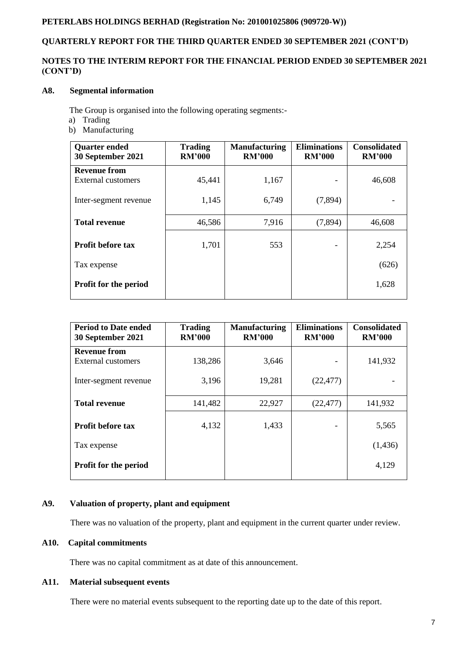# **QUARTERLY REPORT FOR THE THIRD QUARTER ENDED 30 SEPTEMBER 2021 (CONT'D)**

### **NOTES TO THE INTERIM REPORT FOR THE FINANCIAL PERIOD ENDED 30 SEPTEMBER 2021 (CONT'D)**

### **A8. Segmental information**

The Group is organised into the following operating segments:-

- a) Trading
- b) Manufacturing

| <b>Quarter ended</b><br>30 September 2021 | <b>Trading</b><br><b>RM'000</b> | <b>Manufacturing</b><br><b>RM'000</b> | <b>Eliminations</b><br><b>RM'000</b> | <b>Consolidated</b><br><b>RM'000</b> |
|-------------------------------------------|---------------------------------|---------------------------------------|--------------------------------------|--------------------------------------|
| <b>Revenue from</b>                       |                                 |                                       |                                      |                                      |
| External customers                        | 45,441                          | 1,167                                 |                                      | 46,608                               |
| Inter-segment revenue                     | 1,145                           | 6,749                                 | (7,894)                              |                                      |
| <b>Total revenue</b>                      | 46,586                          | 7,916                                 | (7,894)                              | 46,608                               |
|                                           |                                 |                                       |                                      |                                      |
| <b>Profit before tax</b>                  | 1,701                           | 553                                   |                                      | 2,254                                |
| Tax expense                               |                                 |                                       |                                      | (626)                                |
| <b>Profit for the period</b>              |                                 |                                       |                                      | 1,628                                |
|                                           |                                 |                                       |                                      |                                      |

| <b>Period to Date ended</b><br>30 September 2021 | <b>Trading</b><br><b>RM'000</b> | <b>Manufacturing</b><br><b>RM'000</b> | <b>Eliminations</b><br><b>RM'000</b> | <b>Consolidated</b><br><b>RM'000</b> |
|--------------------------------------------------|---------------------------------|---------------------------------------|--------------------------------------|--------------------------------------|
| <b>Revenue from</b>                              |                                 |                                       |                                      |                                      |
| <b>External customers</b>                        | 138,286                         | 3,646                                 |                                      | 141,932                              |
| Inter-segment revenue                            | 3,196                           | 19,281                                | (22, 477)                            |                                      |
| <b>Total revenue</b>                             | 141,482                         | 22,927                                | (22, 477)                            | 141,932                              |
| <b>Profit before tax</b>                         | 4,132                           | 1,433                                 |                                      |                                      |
|                                                  |                                 |                                       |                                      | 5,565                                |
| Tax expense                                      |                                 |                                       |                                      | (1,436)                              |
| <b>Profit for the period</b>                     |                                 |                                       |                                      | 4,129                                |
|                                                  |                                 |                                       |                                      |                                      |

#### **A9. Valuation of property, plant and equipment**

There was no valuation of the property, plant and equipment in the current quarter under review.

#### **A10. Capital commitments**

There was no capital commitment as at date of this announcement.

### **A11. Material subsequent events**

There were no material events subsequent to the reporting date up to the date of this report.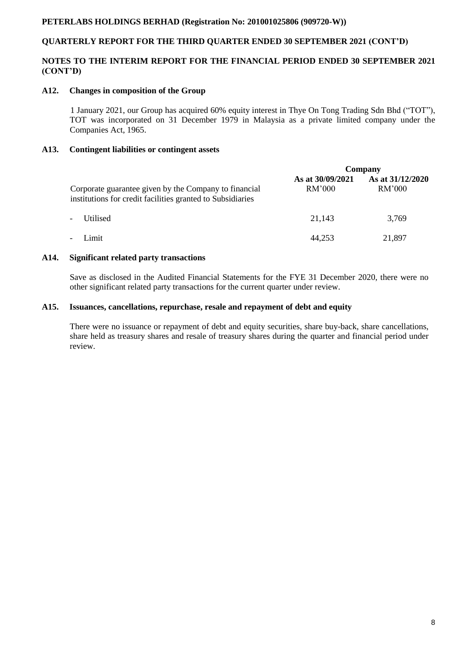# **QUARTERLY REPORT FOR THE THIRD QUARTER ENDED 30 SEPTEMBER 2021 (CONT'D)**

### **NOTES TO THE INTERIM REPORT FOR THE FINANCIAL PERIOD ENDED 30 SEPTEMBER 2021 (CONT'D)**

#### **A12. Changes in composition of the Group**

 1 January 2021, our Group has acquired 60% equity interest in Thye On Tong Trading Sdn Bhd ("TOT"), TOT was incorporated on 31 December 1979 in Malaysia as a private limited company under the Companies Act, 1965.

### **A13. Contingent liabilities or contingent assets**

|                                                                                                                     | Company                    |                            |
|---------------------------------------------------------------------------------------------------------------------|----------------------------|----------------------------|
| Corporate guarantee given by the Company to financial<br>institutions for credit facilities granted to Subsidiaries | As at 30/09/2021<br>RM'000 | As at 31/12/2020<br>RM'000 |
| Utilised<br>$\blacksquare$                                                                                          | 21,143                     | 3,769                      |
| Limit<br>$\overline{\phantom{a}}$                                                                                   | 44,253                     | 21,897                     |

#### **A14. Significant related party transactions**

Save as disclosed in the Audited Financial Statements for the FYE 31 December 2020, there were no other significant related party transactions for the current quarter under review.

#### **A15. Issuances, cancellations, repurchase, resale and repayment of debt and equity**

There were no issuance or repayment of debt and equity securities, share buy-back, share cancellations, share held as treasury shares and resale of treasury shares during the quarter and financial period under review.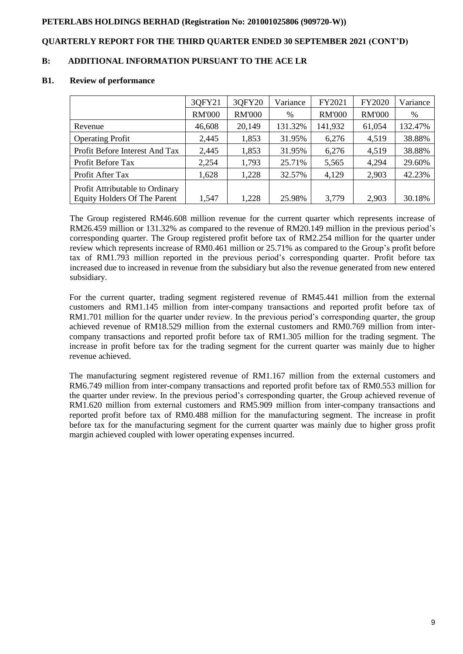### **QUARTERLY REPORT FOR THE THIRD QUARTER ENDED 30 SEPTEMBER 2021 (CONT'D)**

### **B: ADDITIONAL INFORMATION PURSUANT TO THE ACE LR**

#### **B1. Review of performance**

|                                     | 30FY21        | 3QFY20        | Variance | FY2021        | FY2020        | Variance |
|-------------------------------------|---------------|---------------|----------|---------------|---------------|----------|
|                                     | <b>RM'000</b> | <b>RM'000</b> | %        | <b>RM'000</b> | <b>RM'000</b> | %        |
| Revenue                             | 46,608        | 20,149        | 131.32%  | 141,932       | 61,054        | 132.47%  |
| <b>Operating Profit</b>             | 2,445         | 1,853         | 31.95%   | 6,276         | 4,519         | 38.88%   |
| Profit Before Interest And Tax      | 2,445         | 1,853         | 31.95%   | 6,276         | 4,519         | 38.88%   |
| Profit Before Tax                   | 2,254         | 1,793         | 25.71%   | 5,565         | 4,294         | 29.60%   |
| Profit After Tax                    | 1,628         | 1,228         | 32.57%   | 4,129         | 2,903         | 42.23%   |
| Profit Attributable to Ordinary     |               |               |          |               |               |          |
| <b>Equity Holders Of The Parent</b> | 1,547         | 1,228         | 25.98%   | 3,779         | 2,903         | 30.18%   |

The Group registered RM46.608 million revenue for the current quarter which represents increase of RM26.459 million or 131.32% as compared to the revenue of RM20.149 million in the previous period's corresponding quarter. The Group registered profit before tax of RM2.254 million for the quarter under review which represents increase of RM0.461 million or 25.71% as compared to the Group's profit before tax of RM1.793 million reported in the previous period's corresponding quarter. Profit before tax increased due to increased in revenue from the subsidiary but also the revenue generated from new entered subsidiary.

For the current quarter, trading segment registered revenue of RM45.441 million from the external customers and RM1.145 million from inter-company transactions and reported profit before tax of RM1.701 million for the quarter under review. In the previous period's corresponding quarter, the group achieved revenue of RM18.529 million from the external customers and RM0.769 million from intercompany transactions and reported profit before tax of RM1.305 million for the trading segment. The increase in profit before tax for the trading segment for the current quarter was mainly due to higher revenue achieved.

The manufacturing segment registered revenue of RM1.167 million from the external customers and RM6.749 million from inter-company transactions and reported profit before tax of RM0.553 million for the quarter under review. In the previous period's corresponding quarter, the Group achieved revenue of RM1.620 million from external customers and RM5.909 million from inter-company transactions and reported profit before tax of RM0.488 million for the manufacturing segment. The increase in profit before tax for the manufacturing segment for the current quarter was mainly due to higher gross profit margin achieved coupled with lower operating expenses incurred.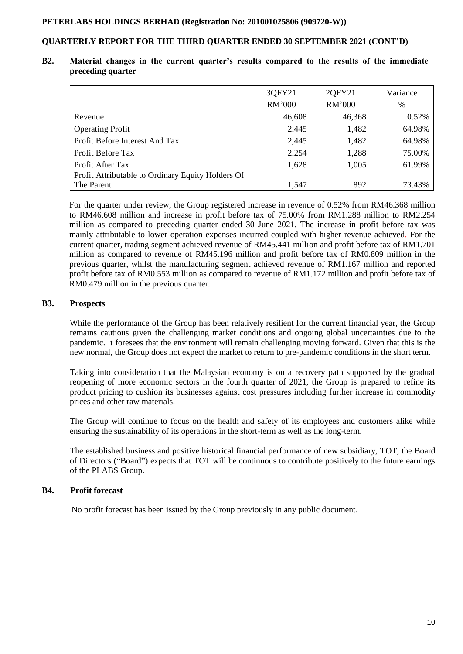### **QUARTERLY REPORT FOR THE THIRD QUARTER ENDED 30 SEPTEMBER 2021 (CONT'D)**

#### **B2. Material changes in the current quarter's results compared to the results of the immediate preceding quarter**

|                                                   | 30FY21 | 20FY21 | Variance |
|---------------------------------------------------|--------|--------|----------|
|                                                   | RM'000 | RM'000 | %        |
| Revenue                                           | 46,608 | 46,368 | 0.52%    |
| <b>Operating Profit</b>                           | 2,445  | 1,482  | 64.98%   |
| Profit Before Interest And Tax                    | 2,445  | 1,482  | 64.98%   |
| Profit Before Tax                                 | 2,254  | 1,288  | 75.00%   |
| Profit After Tax                                  | 1,628  | 1,005  | 61.99%   |
| Profit Attributable to Ordinary Equity Holders Of |        |        |          |
| The Parent                                        | 1,547  | 892    | 73.43%   |

For the quarter under review, the Group registered increase in revenue of 0.52% from RM46.368 million to RM46.608 million and increase in profit before tax of 75.00% from RM1.288 million to RM2.254 million as compared to preceding quarter ended 30 June 2021. The increase in profit before tax was mainly attributable to lower operation expenses incurred coupled with higher revenue achieved. For the current quarter, trading segment achieved revenue of RM45.441 million and profit before tax of RM1.701 million as compared to revenue of RM45.196 million and profit before tax of RM0.809 million in the previous quarter, whilst the manufacturing segment achieved revenue of RM1.167 million and reported profit before tax of RM0.553 million as compared to revenue of RM1.172 million and profit before tax of RM0.479 million in the previous quarter.

### **B3. Prospects**

While the performance of the Group has been relatively resilient for the current financial year, the Group remains cautious given the challenging market conditions and ongoing global uncertainties due to the pandemic. It foresees that the environment will remain challenging moving forward. Given that this is the new normal, the Group does not expect the market to return to pre-pandemic conditions in the short term.

Taking into consideration that the Malaysian economy is on a recovery path supported by the gradual reopening of more economic sectors in the fourth quarter of 2021, the Group is prepared to refine its product pricing to cushion its businesses against cost pressures including further increase in commodity prices and other raw materials.

The Group will continue to focus on the health and safety of its employees and customers alike while ensuring the sustainability of its operations in the short-term as well as the long-term.

The established business and positive historical financial performance of new subsidiary, TOT, the Board of Directors ("Board") expects that TOT will be continuous to contribute positively to the future earnings of the PLABS Group.

### **B4. Profit forecast**

No profit forecast has been issued by the Group previously in any public document.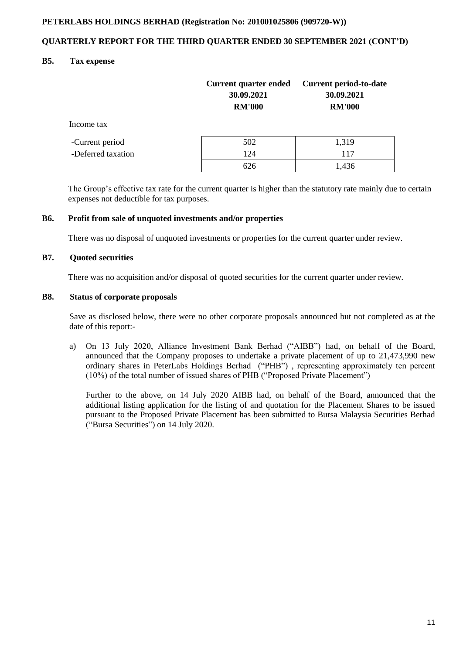### **QUARTERLY REPORT FOR THE THIRD QUARTER ENDED 30 SEPTEMBER 2021 (CONT'D)**

### **B5. Tax expense**

|                    | <b>Current quarter ended</b><br>30.09.2021<br><b>RM'000</b> | <b>Current period-to-date</b><br>30.09.2021<br><b>RM'000</b> |
|--------------------|-------------------------------------------------------------|--------------------------------------------------------------|
| Income tax         |                                                             |                                                              |
| -Current period    | 502                                                         | 1,319                                                        |
| -Deferred taxation | 124                                                         | 117                                                          |
|                    | 626                                                         | 1,436                                                        |

 The Group's effective tax rate for the current quarter is higher than the statutory rate mainly due to certain expenses not deductible for tax purposes.

#### **B6. Profit from sale of unquoted investments and/or properties**

There was no disposal of unquoted investments or properties for the current quarter under review.

### **B7. Quoted securities**

There was no acquisition and/or disposal of quoted securities for the current quarter under review.

#### **B8. Status of corporate proposals**

Save as disclosed below, there were no other corporate proposals announced but not completed as at the date of this report:-

a) On 13 July 2020, Alliance Investment Bank Berhad ("AIBB") had, on behalf of the Board, announced that the Company proposes to undertake a private placement of up to 21,473,990 new ordinary shares in PeterLabs Holdings Berhad ("PHB") , representing approximately ten percent (10%) of the total number of issued shares of PHB ("Proposed Private Placement")

Further to the above, on 14 July 2020 AIBB had, on behalf of the Board, announced that the additional listing application for the listing of and quotation for the Placement Shares to be issued pursuant to the Proposed Private Placement has been submitted to Bursa Malaysia Securities Berhad ("Bursa Securities") on 14 July 2020.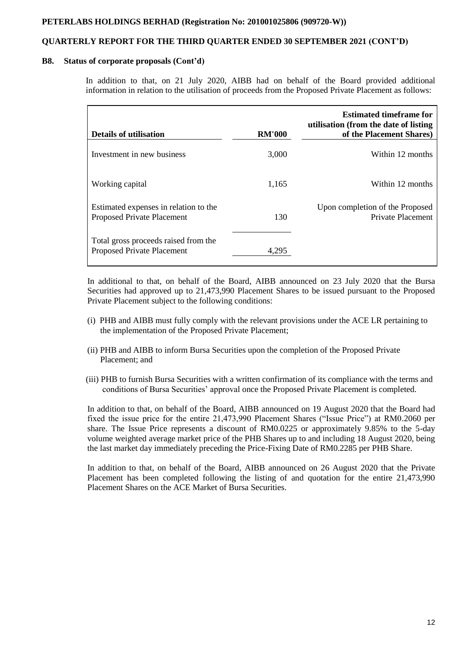### **QUARTERLY REPORT FOR THE THIRD QUARTER ENDED 30 SEPTEMBER 2021 (CONT'D)**

#### **B8. Status of corporate proposals (Cont'd)**

In addition to that, on 21 July 2020, AIBB had on behalf of the Board provided additional information in relation to the utilisation of proceeds from the Proposed Private Placement as follows:

| <b>Details of utilisation</b>                                              | <b>RM'000</b> | <b>Estimated timeframe for</b><br>utilisation (from the date of listing<br>of the Placement Shares) |
|----------------------------------------------------------------------------|---------------|-----------------------------------------------------------------------------------------------------|
| Investment in new business                                                 | 3,000         | Within 12 months                                                                                    |
| Working capital                                                            | 1,165         | Within 12 months                                                                                    |
| Estimated expenses in relation to the<br><b>Proposed Private Placement</b> | 130           | Upon completion of the Proposed<br>Private Placement                                                |
| Total gross proceeds raised from the<br>Proposed Private Placement         | 4.295         |                                                                                                     |

In additional to that, on behalf of the Board, AIBB announced on 23 July 2020 that the Bursa Securities had approved up to 21,473,990 Placement Shares to be issued pursuant to the Proposed Private Placement subject to the following conditions:

- (i) PHB and AIBB must fully comply with the relevant provisions under the ACE LR pertaining to the implementation of the Proposed Private Placement;
- (ii) PHB and AIBB to inform Bursa Securities upon the completion of the Proposed Private Placement; and
- (iii) PHB to furnish Bursa Securities with a written confirmation of its compliance with the terms and conditions of Bursa Securities' approval once the Proposed Private Placement is completed.

In addition to that, on behalf of the Board, AIBB announced on 19 August 2020 that the Board had fixed the issue price for the entire 21,473,990 Placement Shares ("Issue Price") at RM0.2060 per share. The Issue Price represents a discount of RM0.0225 or approximately 9.85% to the 5-day volume weighted average market price of the PHB Shares up to and including 18 August 2020, being the last market day immediately preceding the Price-Fixing Date of RM0.2285 per PHB Share.

In addition to that, on behalf of the Board, AIBB announced on 26 August 2020 that the Private Placement has been completed following the listing of and quotation for the entire 21,473,990 Placement Shares on the ACE Market of Bursa Securities.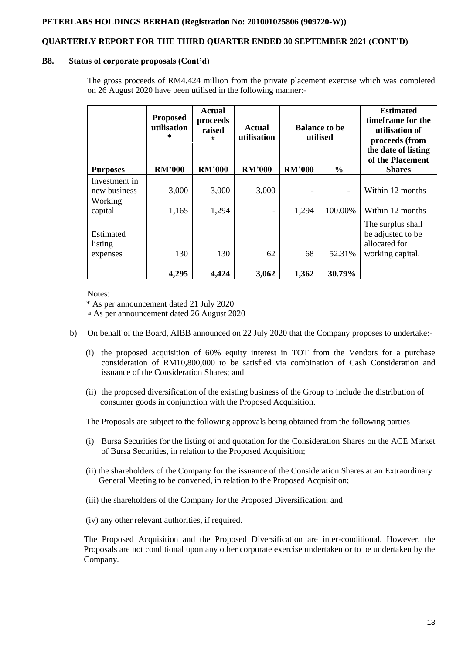# **QUARTERLY REPORT FOR THE THIRD QUARTER ENDED 30 SEPTEMBER 2021 (CONT'D)**

#### **B8. Status of corporate proposals (Cont'd)**

The gross proceeds of RM4.424 million from the private placement exercise which was completed on 26 August 2020 have been utilised in the following manner:-

|                                  | <b>Proposed</b><br>utilisation<br>÷. | <b>Actual</b><br>proceeds<br>raised<br># | Actual<br>utilisation | <b>Balance to be</b><br>utilised |                          | <b>Estimated</b><br>time frame for the<br>utilisation of<br>proceeds (from<br>the date of listing<br>of the Placement |
|----------------------------------|--------------------------------------|------------------------------------------|-----------------------|----------------------------------|--------------------------|-----------------------------------------------------------------------------------------------------------------------|
| <b>Purposes</b>                  | <b>RM'000</b>                        | <b>RM'000</b>                            | <b>RM'000</b>         | <b>RM'000</b>                    | $\frac{0}{0}$            | <b>Shares</b>                                                                                                         |
| Investment in<br>new business    | 3,000                                | 3,000                                    | 3,000                 | -                                | $\overline{\phantom{a}}$ | Within 12 months                                                                                                      |
| Working<br>capital               | 1,165                                | 1,294                                    |                       | 1,294                            | 100.00%                  | Within 12 months                                                                                                      |
| Estimated<br>listing<br>expenses | 130                                  | 130                                      | 62                    | 68                               | 52.31%                   | The surplus shall<br>be adjusted to be<br>allocated for<br>working capital.                                           |
|                                  | 4,295                                | 4,424                                    | 3,062                 | 1,362                            | 30.79%                   |                                                                                                                       |

Notes:

'\* As per announcement dated 21 July 2020

# As per announcement dated 26 August 2020

- b) On behalf of the Board, AIBB announced on 22 July 2020 that the Company proposes to undertake:-
	- (i) the proposed acquisition of 60% equity interest in TOT from the Vendors for a purchase consideration of RM10,800,000 to be satisfied via combination of Cash Consideration and issuance of the Consideration Shares; and
	- (ii) the proposed diversification of the existing business of the Group to include the distribution of consumer goods in conjunction with the Proposed Acquisition.

The Proposals are subject to the following approvals being obtained from the following parties

- (i) Bursa Securities for the listing of and quotation for the Consideration Shares on the ACE Market of Bursa Securities, in relation to the Proposed Acquisition;
- (ii) the shareholders of the Company for the issuance of the Consideration Shares at an Extraordinary General Meeting to be convened, in relation to the Proposed Acquisition;
- (iii) the shareholders of the Company for the Proposed Diversification; and
- (iv) any other relevant authorities, if required.

The Proposed Acquisition and the Proposed Diversification are inter-conditional. However, the Proposals are not conditional upon any other corporate exercise undertaken or to be undertaken by the Company.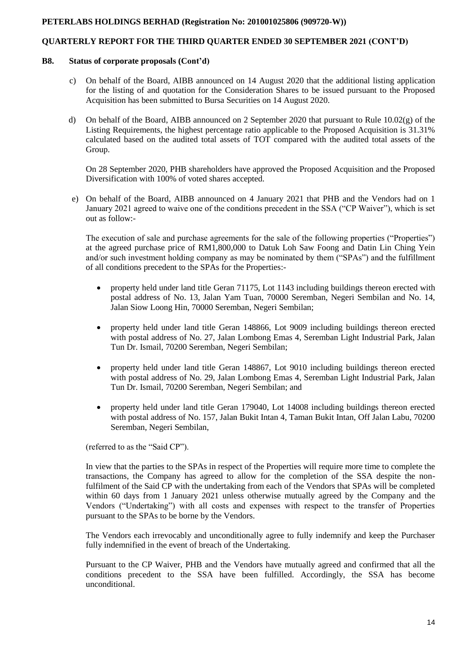### **QUARTERLY REPORT FOR THE THIRD QUARTER ENDED 30 SEPTEMBER 2021 (CONT'D)**

#### **B8. Status of corporate proposals (Cont'd)**

- c) On behalf of the Board, AIBB announced on 14 August 2020 that the additional listing application for the listing of and quotation for the Consideration Shares to be issued pursuant to the Proposed Acquisition has been submitted to Bursa Securities on 14 August 2020.
- d) On behalf of the Board, AIBB announced on 2 September 2020 that pursuant to Rule 10.02(g) of the Listing Requirements, the highest percentage ratio applicable to the Proposed Acquisition is 31.31% calculated based on the audited total assets of TOT compared with the audited total assets of the Group.

On 28 September 2020, PHB shareholders have approved the Proposed Acquisition and the Proposed Diversification with 100% of voted shares accepted.

e) On behalf of the Board, AIBB announced on 4 January 2021 that PHB and the Vendors had on 1 January 2021 agreed to waive one of the conditions precedent in the SSA ("CP Waiver"), which is set out as follow:-

The execution of sale and purchase agreements for the sale of the following properties ("Properties") at the agreed purchase price of RM1,800,000 to Datuk Loh Saw Foong and Datin Lin Ching Yein and/or such investment holding company as may be nominated by them ("SPAs") and the fulfillment of all conditions precedent to the SPAs for the Properties:-

- property held under land title Geran 71175, Lot 1143 including buildings thereon erected with postal address of No. 13, Jalan Yam Tuan, 70000 Seremban, Negeri Sembilan and No. 14, Jalan Siow Loong Hin, 70000 Seremban, Negeri Sembilan;
- property held under land title Geran 148866, Lot 9009 including buildings thereon erected with postal address of No. 27, Jalan Lombong Emas 4, Seremban Light Industrial Park, Jalan Tun Dr. Ismail, 70200 Seremban, Negeri Sembilan;
- property held under land title Geran 148867, Lot 9010 including buildings thereon erected with postal address of No. 29, Jalan Lombong Emas 4, Seremban Light Industrial Park, Jalan Tun Dr. Ismail, 70200 Seremban, Negeri Sembilan; and
- property held under land title Geran 179040, Lot 14008 including buildings thereon erected with postal address of No. 157, Jalan Bukit Intan 4, Taman Bukit Intan, Off Jalan Labu, 70200 Seremban, Negeri Sembilan,

(referred to as the "Said CP").

In view that the parties to the SPAs in respect of the Properties will require more time to complete the transactions, the Company has agreed to allow for the completion of the SSA despite the nonfulfilment of the Said CP with the undertaking from each of the Vendors that SPAs will be completed within 60 days from 1 January 2021 unless otherwise mutually agreed by the Company and the Vendors ("Undertaking") with all costs and expenses with respect to the transfer of Properties pursuant to the SPAs to be borne by the Vendors.

The Vendors each irrevocably and unconditionally agree to fully indemnify and keep the Purchaser fully indemnified in the event of breach of the Undertaking.

Pursuant to the CP Waiver, PHB and the Vendors have mutually agreed and confirmed that all the conditions precedent to the SSA have been fulfilled. Accordingly, the SSA has become unconditional.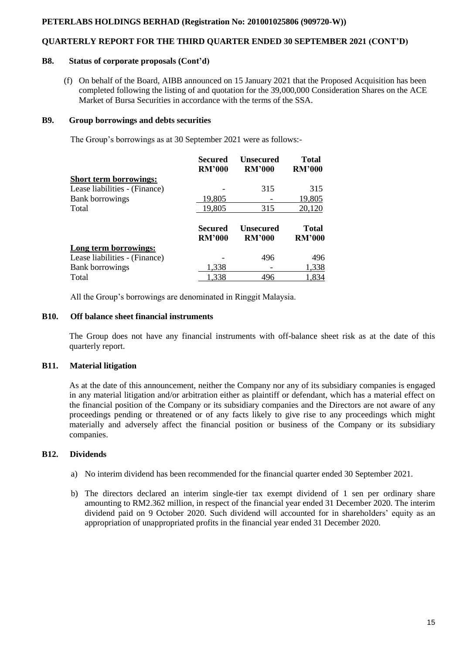### **QUARTERLY REPORT FOR THE THIRD QUARTER ENDED 30 SEPTEMBER 2021 (CONT'D)**

#### **B8. Status of corporate proposals (Cont'd)**

(f) On behalf of the Board, AIBB announced on 15 January 2021 that the Proposed Acquisition has been completed following the listing of and quotation for the 39,000,000 Consideration Shares on the ACE Market of Bursa Securities in accordance with the terms of the SSA.

#### **B9. Group borrowings and debts securities**

The Group's borrowings as at 30 September 2021 were as follows:-

|                               | Secured<br><b>RM'000</b> | <b>Unsecured</b><br><b>RM'000</b> | <b>Total</b><br><b>RM'000</b> |
|-------------------------------|--------------------------|-----------------------------------|-------------------------------|
| <b>Short term borrowings:</b> |                          |                                   |                               |
| Lease liabilities - (Finance) |                          | 315                               | 315                           |
| <b>Bank borrowings</b>        | 19,805                   |                                   | 19,805                        |
| Total                         | 19,805                   | 315                               | 20,120                        |
|                               | Secured<br><b>RM'000</b> | <b>Unsecured</b><br><b>RM'000</b> | <b>Total</b><br><b>RM'000</b> |
| Long term borrowings:         |                          |                                   |                               |
| Lease liabilities - (Finance) |                          | 496                               | 496                           |
| <b>Bank borrowings</b>        |                          |                                   | 1,338                         |
|                               | 1,338                    |                                   |                               |

All the Group's borrowings are denominated in Ringgit Malaysia.

#### **B10. Off balance sheet financial instruments**

The Group does not have any financial instruments with off-balance sheet risk as at the date of this quarterly report.

# **B11. Material litigation**

As at the date of this announcement, neither the Company nor any of its subsidiary companies is engaged in any material litigation and/or arbitration either as plaintiff or defendant, which has a material effect on the financial position of the Company or its subsidiary companies and the Directors are not aware of any proceedings pending or threatened or of any facts likely to give rise to any proceedings which might materially and adversely affect the financial position or business of the Company or its subsidiary companies.

# **B12. Dividends**

- a) No interim dividend has been recommended for the financial quarter ended 30 September 2021.
- b) The directors declared an interim single-tier tax exempt dividend of 1 sen per ordinary share amounting to RM2.362 million, in respect of the financial year ended 31 December 2020. The interim dividend paid on 9 October 2020. Such dividend will accounted for in shareholders' equity as an appropriation of unappropriated profits in the financial year ended 31 December 2020.